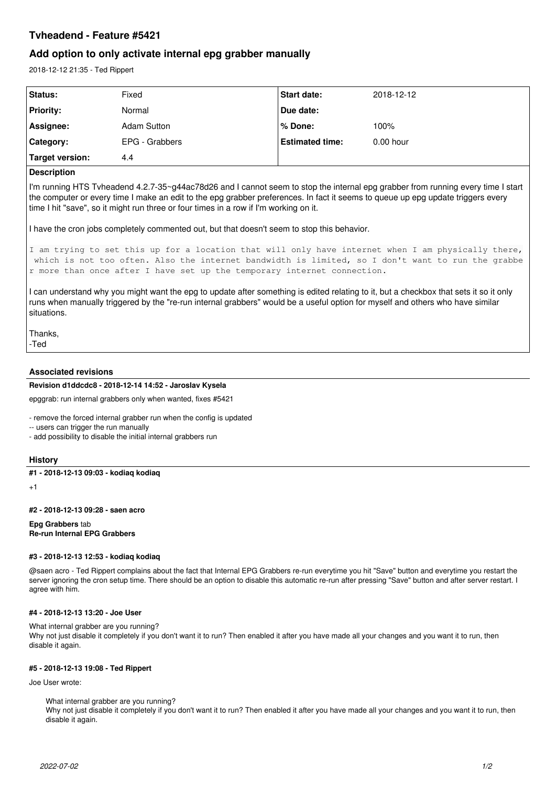# **Tvheadend - Feature #5421**

## **Add option to only activate internal epg grabber manually**

2018-12-12 21:35 - Ted Rippert

| Status:          | Fixed              | <b>Start date:</b>     | 2018-12-12  |
|------------------|--------------------|------------------------|-------------|
| <b>Priority:</b> | Normal             | Due date:              |             |
| Assignee:        | <b>Adam Sutton</b> | l% Done:               | 100%        |
| Category:        | EPG - Grabbers     | <b>Estimated time:</b> | $0.00$ hour |
| Target version:  | 4.4                |                        |             |

#### **Description**

I'm running HTS Tvheadend 4.2.7-35~g44ac78d26 and I cannot seem to stop the internal epg grabber from running every time I start the computer or every time I make an edit to the epg grabber preferences. In fact it seems to queue up epg update triggers every time I hit "save", so it might run three or four times in a row if I'm working on it.

I have the cron jobs completely commented out, but that doesn't seem to stop this behavior.

```
I am trying to set this up for a location that will only have internet when I am physically there,
which is not too often. Also the internet bandwidth is limited, so I don't want to run the grabbe
r more than once after I have set up the temporary internet connection.
```
I can understand why you might want the epg to update after something is edited relating to it, but a checkbox that sets it so it only runs when manually triggered by the "re-run internal grabbers" would be a useful option for myself and others who have similar situations.

Thanks, -Ted

### **Associated revisions**

### **Revision d1ddcdc8 - 2018-12-14 14:52 - Jaroslav Kysela**

epggrab: run internal grabbers only when wanted, fixes #5421

- remove the forced internal grabber run when the config is updated

-- users can trigger the run manually

- add possibility to disable the initial internal grabbers run

#### **History**

### **#1 - 2018-12-13 09:03 - kodiaq kodiaq**

+1

**#2 - 2018-12-13 09:28 - saen acro**

**Epg Grabbers** tab **Re-run Internal EPG Grabbers**

#### **#3 - 2018-12-13 12:53 - kodiaq kodiaq**

@saen acro - Ted Rippert complains about the fact that Internal EPG Grabbers re-run everytime you hit "Save" button and everytime you restart the server ignoring the cron setup time. There should be an option to disable this automatic re-run after pressing "Save" button and after server restart. I agree with him.

#### **#4 - 2018-12-13 13:20 - Joe User**

What internal grabber are you running? Why not just disable it completely if you don't want it to run? Then enabled it after you have made all your changes and you want it to run, then disable it again.

### **#5 - 2018-12-13 19:08 - Ted Rippert**

Joe User wrote:

What internal grabber are you running?

Why not just disable it completely if you don't want it to run? Then enabled it after you have made all your changes and you want it to run, then disable it again.